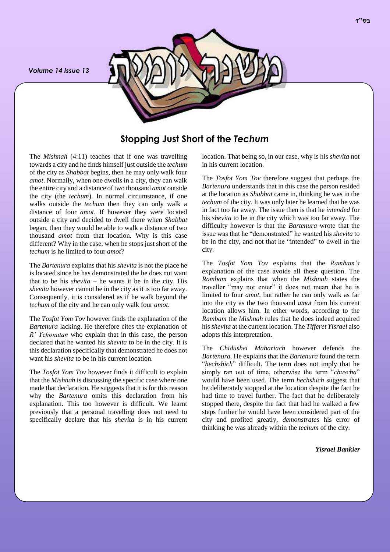*Volume 14 Issue 13*



**Stopping Just Short of the** *Techum*

The *Mishnah* (4:11) teaches that if one was travelling towards a city and he finds himself just outside the *techum* of the city as *Shabbat* begins, then he may only walk four *amot*. Normally, when one dwells in a city, they can walk the entire city and a distance of two thousand *amot* outside the city (the *techum*). In normal circumstance, if one walks outside the *techum* then they can only walk a distance of four *amot*. If however they were located outside a city and decided to dwell there when *Shabbat*  began, then they would be able to walk a distance of two thousand *amot* from that location. Why is this case different? Why in the case, when he stops just short of the *techum* is he limited to four *amot*?

The *Bartenura* explains that his *shevita* is not the place he is located since he has demonstrated the he does not want that to be his *shevita* – he wants it be in the city. His *shevita* however cannot be in the city as it is too far away. Consequently, it is considered as if he walk beyond the *techum* of the city and he can only walk four *amot*.

The *Tosfot Yom Tov* however finds the explanation of the *Bartenura* lacking. He therefore cites the explanation of *R' Yehonatan* who explain that in this case, the person declared that he wanted his *shevita* to be in the city. It is this declaration specifically that demonstrated he does not want his *shevita* to be in his current location.

The *Tosfot Yom Tov* however finds it difficult to explain that the *Mishnah* is discussing the specific case where one made that declaration. He suggests that it is for this reason why the *Bartenura* omits this declaration from his explanation. This too however is difficult. We learnt previously that a personal travelling does not need to specifically declare that his *shevita* is in his current location. That being so, in our case, why is his *shevita* not in his current location.

The *Tosfot Yom Tov* therefore suggest that perhaps the *Bartenura* understands that in this case the person resided at the location as *Shabbat* came in, thinking he was in the *techum* of the city. It was only later he learned that he was in fact too far away. The issue then is that he *intended* for his *shevita* to be in the city which was too far away. The difficulty however is that the *Bartenura* wrote that the issue was that he "demonstrated" he wanted his *shevita* to be in the city, and not that he "intended" to dwell in the city.

The *Tosfot Yom Tov* explains that the *Rambam's* explanation of the case avoids all these question. The *Rambam* explains that when the *Mishnah* states the traveller "may not enter" it does not mean that he is limited to four *amot*, but rather he can only walk as far into the city as the two thousand *amot* from his current location allows him. In other words, according to the *Rambam* the *Mishnah* rules that he does indeed acquired his *shevita* at the current location. The *Tifferet Yisrael* also adopts this interpretation.

The *Chidushei Mahariach* however defends the *Bartenura*. He explains that the *Bartenura* found the term "*hechshich*" difficult. The term does not imply that he simply ran out of time, otherwise the term "*chascha*" would have been used. The term *hechshich* suggest that he deliberately stopped at the location despite the fact he had time to travel further. The fact that he deliberately stopped there, despite the fact that had he walked a few steps further he would have been considered part of the city and profited greatly, *demonstrates* his error of thinking he was already within the *techum* of the city.

*Yisrael Bankier*